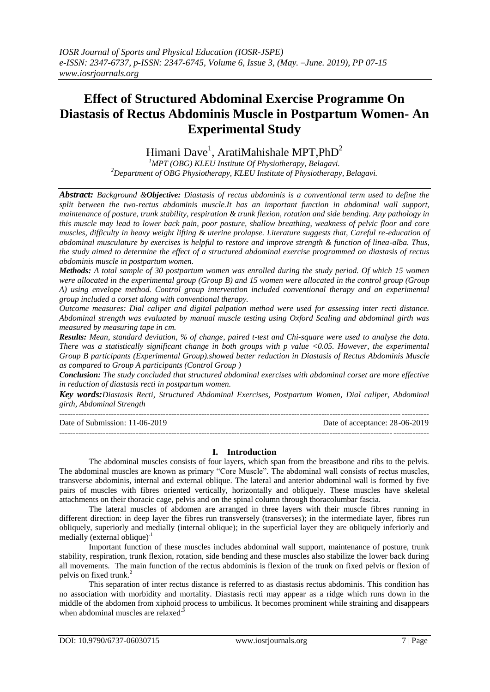# **Effect of Structured Abdominal Exercise Programme On Diastasis of Rectus Abdominis Muscle in Postpartum Women- An Experimental Study**

Himani Dave<sup>1</sup>, AratiMahishale MPT,PhD<sup>2</sup>

*<sup>1</sup>MPT (OBG) KLEU Institute Of Physiotherapy, Belagavi. <sup>2</sup>Department of OBG Physiotherapy, KLEU Institute of Physiotherapy, Belagavi.*

*Abstract: Background &Objective: Diastasis of rectus abdominis is a conventional term used to define the split between the two-rectus abdominis muscle.It has an important function in abdominal wall support, maintenance of posture, trunk stability, respiration & trunk flexion, rotation and side bending. Any pathology in this muscle may lead to lower back pain, poor posture, shallow breathing, weakness of pelvic floor and core muscles, difficulty in heavy weight lifting & uterine prolapse. Literature suggests that, Careful re-education of abdominal musculature by exercises is helpful to restore and improve strength & function of linea-alba. Thus, the study aimed to determine the effect of a structured abdominal exercise programmed on diastasis of rectus abdominis muscle in postpartum women.*

*Methods: A total sample of 30 postpartum women was enrolled during the study period. Of which 15 women were allocated in the experimental group (Group B) and 15 women were allocated in the control group (Group A) using envelope method. Control group intervention included conventional therapy and an experimental group included a corset along with conventional therapy.*

*Outcome measures: Dial caliper and digital palpation method were used for assessing inter recti distance. Abdominal strength was evaluated by manual muscle testing using Oxford Scaling and abdominal girth was measured by measuring tape in cm.*

*Results: Mean, standard deviation, % of change, paired t-test and Chi-square were used to analyse the data. There was a statistically significant change in both groups with p value <0.05. However, the experimental Group B participants (Experimental Group).showed better reduction in Diastasis of Rectus Abdominis Muscle as compared to Group A participants (Control Group )*

*Conclusion: The study concluded that structured abdominal exercises with abdominal corset are more effective in reduction of diastasis recti in postpartum women.*

*Key words:Diastasis Recti, Structured Abdominal Exercises, Postpartum Women, Dial caliper, Abdominal girth, Abdominal Strength* ---------------------------------------------------------------------------------------------------------------------------------------

Date of Submission: 11-06-2019 Date of acceptance: 28-06-2019

 $-1.1$ 

# **I. Introduction**

The abdominal muscles consists of four layers, which span from the breastbone and ribs to the pelvis. The abdominal muscles are known as primary "Core Muscle". The abdominal wall consists of rectus muscles, transverse abdominis, internal and external oblique. The lateral and anterior abdominal wall is formed by five pairs of muscles with fibres oriented vertically, horizontally and obliquely. These muscles have skeletal attachments on their thoracic cage, pelvis and on the spinal column through thoracolumbar fascia.

The lateral muscles of abdomen are arranged in three layers with their muscle fibres running in different direction: in deep layer the fibres run transversely (transverses); in the intermediate layer, fibres run obliquely, superiorly and medially (internal oblique); in the superficial layer they are obliquely inferiorly and medially (external oblique) $<sup>1</sup>$ </sup>

Important function of these muscles includes abdominal wall support, maintenance of posture, trunk stability, respiration, trunk flexion, rotation, side bending and these muscles also stabilize the lower back during all movements. The main function of the rectus abdominis is flexion of the trunk on fixed pelvis or flexion of pelvis on fixed trunk.<sup>2</sup>

This separation of inter rectus distance is referred to as diastasis rectus abdominis. This condition has no association with morbidity and mortality. Diastasis recti may appear as a ridge which runs down in the middle of the abdomen from xiphoid process to umbilicus. It becomes prominent while straining and disappears when abdominal muscles are relaxed<sup>3</sup>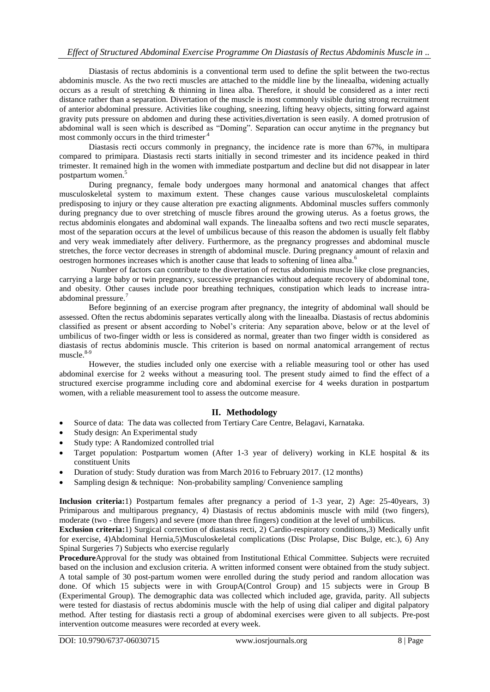# *Effect of Structured Abdominal Exercise Programme On Diastasis of Rectus Abdominis Muscle in ..*

Diastasis of rectus abdominis is a conventional term used to define the split between the two-rectus abdominis muscle. As the two recti muscles are attached to the middle line by the lineaalba, widening actually occurs as a result of stretching & thinning in linea alba. Therefore, it should be considered as a inter recti distance rather than a separation. Divertation of the muscle is most commonly visible during strong recruitment of anterior abdominal pressure. Activities like coughing, sneezing, lifting heavy objects, sitting forward against gravity puts pressure on abdomen and during these activities,divertation is seen easily. A domed protrusion of abdominal wall is seen which is described as "Doming". Separation can occur anytime in the pregnancy but most commonly occurs in the third trimester.4

Diastasis recti occurs commonly in pregnancy, the incidence rate is more than 67%, in multipara compared to primipara. Diastasis recti starts initially in second trimester and its incidence peaked in third trimester. It remained high in the women with immediate postpartum and decline but did not disappear in later postpartum women.<sup>5</sup>

During pregnancy, female body undergoes many hormonal and anatomical changes that affect musculoskeletal system to maximum extent. These changes cause various musculoskeletal complaints predisposing to injury or they cause alteration pre exacting alignments. Abdominal muscles suffers commonly during pregnancy due to over stretching of muscle fibres around the growing uterus. As a foetus grows, the rectus abdominis elongates and abdominal wall expands. The lineaalba softens and two recti muscle separates, most of the separation occurs at the level of umbilicus because of this reason the abdomen is usually felt flabby and very weak immediately after delivery. Furthermore, as the pregnancy progresses and abdominal muscle stretches, the force vector decreases in strength of abdominal muscle. During pregnancy amount of relaxin and oestrogen hormones increases which is another cause that leads to softening of linea alba.<sup>6</sup>

Number of factors can contribute to the divertation of rectus abdominis muscle like close pregnancies, carrying a large baby or twin pregnancy, successive pregnancies without adequate recovery of abdominal tone, and obesity. Other causes include poor breathing techniques, constipation which leads to increase intraabdominal pressure.<sup>7</sup>

Before beginning of an exercise program after pregnancy, the integrity of abdominal wall should be assessed. Often the rectus abdominis separates vertically along with the lineaalba. Diastasis of rectus abdominis classified as present or absent according to Nobel's criteria: Any separation above, below or at the level of umbilicus of two-finger width or less is considered as normal, greater than two finger width is considered as diastasis of rectus abdominis muscle. This criterion is based on normal anatomical arrangement of rectus  $muscle.<sup>8-9</sup>$ 

However, the studies included only one exercise with a reliable measuring tool or other has used abdominal exercise for 2 weeks without a measuring tool. The present study aimed to find the effect of a structured exercise programme including core and abdominal exercise for 4 weeks duration in postpartum women, with a reliable measurement tool to assess the outcome measure.

# **II. Methodology**

- Source of data: The data was collected from Tertiary Care Centre, Belagavi, Karnataka.
- Study design: An Experimental study
- Study type: A Randomized controlled trial
- Target population: Postpartum women (After 1-3 year of delivery) working in KLE hospital  $\&$  its constituent Units
- Duration of study: Study duration was from March 2016 to February 2017. (12 months)
- Sampling design  $&$  technique: Non-probability sampling/ Convenience sampling

**Inclusion criteria:**1) Postpartum females after pregnancy a period of 1-3 year, 2) Age: 25-40years, 3) Primiparous and multiparous pregnancy, 4) Diastasis of rectus abdominis muscle with mild (two fingers), moderate (two - three fingers) and severe (more than three fingers) condition at the level of umbilicus.

**Exclusion criteria:**1) Surgical correction of diastasis recti, 2) Cardio-respiratory conditions,3) Medically unfit for exercise, 4)Abdominal Hernia,5)Musculoskeletal complications (Disc Prolapse, Disc Bulge, etc.), 6) Any Spinal Surgeries 7) Subjects who exercise regularly

**Procedure**Approval for the study was obtained from Institutional Ethical Committee. Subjects were recruited based on the inclusion and exclusion criteria. A written informed consent were obtained from the study subject. A total sample of 30 post-partum women were enrolled during the study period and random allocation was done. Of which 15 subjects were in with GroupA(Control Group) and 15 subjects were in Group B (Experimental Group). The demographic data was collected which included age, gravida, parity. All subjects were tested for diastasis of rectus abdominis muscle with the help of using dial caliper and digital palpatory method. After testing for diastasis recti a group of abdominal exercises were given to all subjects. Pre-post intervention outcome measures were recorded at every week.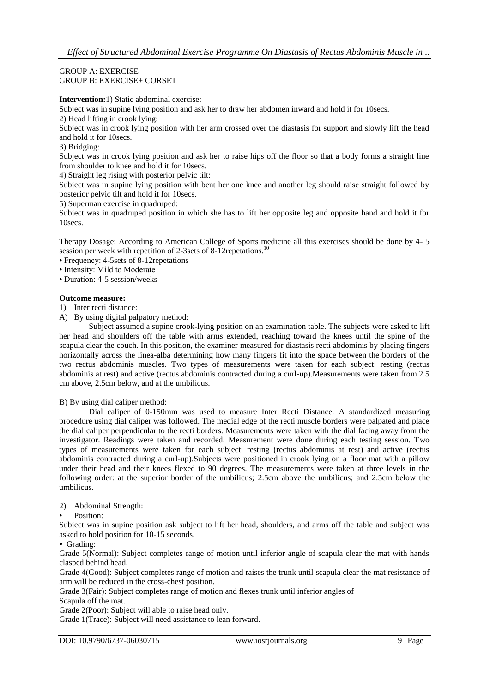GROUP A: EXERCISE GROUP B: EXERCISE+ CORSET

**Intervention:**1) Static abdominal exercise:

Subject was in supine lying position and ask her to draw her abdomen inward and hold it for 10secs.

2) Head lifting in crook lying:

Subject was in crook lying position with her arm crossed over the diastasis for support and slowly lift the head and hold it for 10secs.

3) Bridging:

Subject was in crook lying position and ask her to raise hips off the floor so that a body forms a straight line from shoulder to knee and hold it for 10secs.

4) Straight leg rising with posterior pelvic tilt:

Subject was in supine lying position with bent her one knee and another leg should raise straight followed by posterior pelvic tilt and hold it for 10secs.

5) Superman exercise in quadruped:

Subject was in quadruped position in which she has to lift her opposite leg and opposite hand and hold it for 10secs.

Therapy Dosage: According to American College of Sports medicine all this exercises should be done by 4- 5 session per week with repetition of 2-3sets of 8-12 repetations.<sup>10</sup>

• Frequency: 4-5sets of 8-12repetations

• Intensity: Mild to Moderate

• Duration: 4-5 session/weeks

# **Outcome measure:**

1) Inter recti distance:

A) By using digital palpatory method:

Subject assumed a supine crook-lying position on an examination table. The subjects were asked to lift her head and shoulders off the table with arms extended, reaching toward the knees until the spine of the scapula clear the couch. In this position, the examiner measured for diastasis recti abdominis by placing fingers horizontally across the linea-alba determining how many fingers fit into the space between the borders of the two rectus abdominis muscles. Two types of measurements were taken for each subject: resting (rectus abdominis at rest) and active (rectus abdominis contracted during a curl-up).Measurements were taken from 2.5 cm above, 2.5cm below, and at the umbilicus.

B) By using dial caliper method:

Dial caliper of 0-150mm was used to measure Inter Recti Distance. A standardized measuring procedure using dial caliper was followed. The medial edge of the recti muscle borders were palpated and place the dial caliper perpendicular to the recti borders. Measurements were taken with the dial facing away from the investigator. Readings were taken and recorded. Measurement were done during each testing session. Two types of measurements were taken for each subject: resting (rectus abdominis at rest) and active (rectus abdominis contracted during a curl-up).Subjects were positioned in crook lying on a floor mat with a pillow under their head and their knees flexed to 90 degrees. The measurements were taken at three levels in the following order: at the superior border of the umbilicus; 2.5cm above the umbilicus; and 2.5cm below the umbilicus.

# 2) Abdominal Strength:

# Position:

Subject was in supine position ask subject to lift her head, shoulders, and arms off the table and subject was asked to hold position for 10-15 seconds.

• Grading:

Grade 5(Normal): Subject completes range of motion until inferior angle of scapula clear the mat with hands clasped behind head.

Grade 4(Good): Subject completes range of motion and raises the trunk until scapula clear the mat resistance of arm will be reduced in the cross-chest position.

Grade 3(Fair): Subject completes range of motion and flexes trunk until inferior angles of Scapula off the mat.

Grade 2(Poor): Subject will able to raise head only.

Grade 1(Trace): Subject will need assistance to lean forward.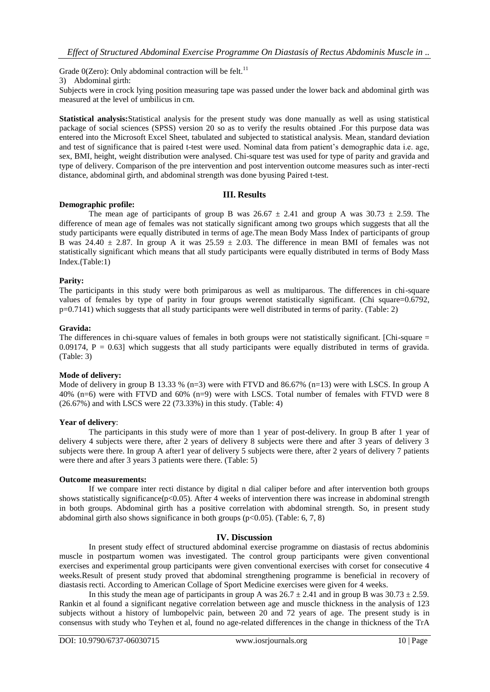Grade  $0$ (Zero): Only abdominal contraction will be felt.<sup>11</sup>

3) Abdominal girth:

Subjects were in crock lying position measuring tape was passed under the lower back and abdominal girth was measured at the level of umbilicus in cm.

**Statistical analysis:**Statistical analysis for the present study was done manually as well as using statistical package of social sciences (SPSS) version 20 so as to verify the results obtained .For this purpose data was entered into the Microsoft Excel Sheet, tabulated and subjected to statistical analysis. Mean, standard deviation and test of significance that is paired t-test were used. Nominal data from patient's demographic data i.e. age, sex, BMI, height, weight distribution were analysed. Chi-square test was used for type of parity and gravida and type of delivery. Comparison of the pre intervention and post intervention outcome measures such as inter-recti distance, abdominal girth, and abdominal strength was done byusing Paired t-test.

# **III. Results**

#### **Demographic profile:**

The mean age of participants of group B was  $26.67 \pm 2.41$  and group A was  $30.73 \pm 2.59$ . The difference of mean age of females was not statically significant among two groups which suggests that all the study participants were equally distributed in terms of age.The mean Body Mass Index of participants of group B was 24.40  $\pm$  2.87. In group A it was 25.59  $\pm$  2.03. The difference in mean BMI of females was not statistically significant which means that all study participants were equally distributed in terms of Body Mass Index.(Table:1)

#### **Parity:**

The participants in this study were both primiparous as well as multiparous. The differences in chi-square values of females by type of parity in four groups werenot statistically significant. (Chi square=0.6792, p=0.7141) which suggests that all study participants were well distributed in terms of parity. (Table: 2)

#### **Gravida:**

The differences in chi-square values of females in both groups were not statistically significant. [Chi-square =  $0.09174$ ,  $P = 0.63$ ] which suggests that all study participants were equally distributed in terms of gravida. (Table: 3)

#### **Mode of delivery:**

Mode of delivery in group B 13.33 % (n=3) were with FTVD and 86.67% (n=13) were with LSCS. In group A 40% (n=6) were with FTVD and 60% (n=9) were with LSCS. Total number of females with FTVD were 8 (26.67%) and with LSCS were 22 (73.33%) in this study. (Table: 4)

#### **Year of delivery**:

The participants in this study were of more than 1 year of post-delivery. In group B after 1 year of delivery 4 subjects were there, after 2 years of delivery 8 subjects were there and after 3 years of delivery 3 subjects were there. In group A after1 year of delivery 5 subjects were there, after 2 years of delivery 7 patients were there and after 3 years 3 patients were there. (Table: 5)

#### **Outcome measurements:**

If we compare inter recti distance by digital n dial caliper before and after intervention both groups shows statistically significance(p<0.05). After 4 weeks of intervention there was increase in abdominal strength in both groups. Abdominal girth has a positive correlation with abdominal strength. So, in present study abdominal girth also shows significance in both groups ( $p<0.05$ ). (Table: 6, 7, 8)

# **IV. Discussion**

In present study effect of structured abdominal exercise programme on diastasis of rectus abdominis muscle in postpartum women was investigated. The control group participants were given conventional exercises and experimental group participants were given conventional exercises with corset for consecutive 4 weeks.Result of present study proved that abdominal strengthening programme is beneficial in recovery of diastasis recti. According to American Collage of Sport Medicine exercises were given for 4 weeks.

In this study the mean age of participants in group A was  $26.7 \pm 2.41$  and in group B was  $30.73 \pm 2.59$ . Rankin et al found a significant negative correlation between age and muscle thickness in the analysis of 123 subjects without a history of lumbopelvic pain, between 20 and 72 years of age. The present study is in consensus with study who Teyhen et al, found no age-related differences in the change in thickness of the TrA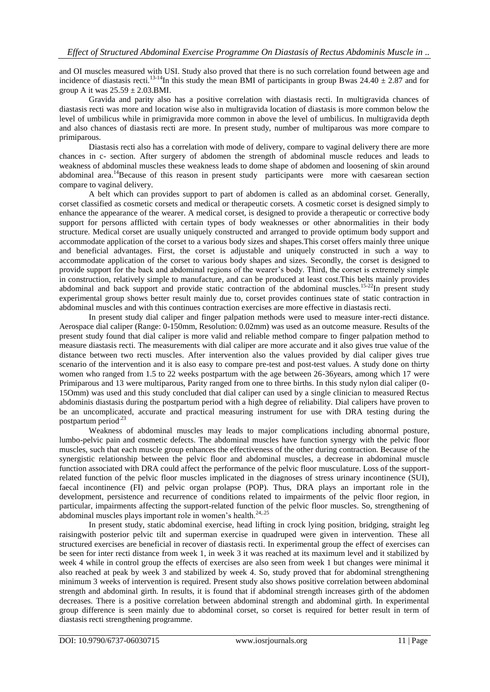and OI muscles measured with USI. Study also proved that there is no such correlation found between age and incidence of diastasis recti.<sup>13-14</sup>In this study the mean BMI of participants in group Bwas  $24.40 \pm 2.87$  and for group A it was  $25.59 \pm 2.03$ . BMI.

Gravida and parity also has a positive correlation with diastasis recti. In multigravida chances of diastasis recti was more and location wise also in multigravida location of diastasis is more common below the level of umbilicus while in primigravida more common in above the level of umbilicus. In multigravida depth and also chances of diastasis recti are more. In present study, number of multiparous was more compare to primiparous.

Diastasis recti also has a correlation with mode of delivery, compare to vaginal delivery there are more chances in c- section. After surgery of abdomen the strength of abdominal muscle reduces and leads to weakness of abdominal muscles these weakness leads to dome shape of abdomen and loosening of skin around abdominal area.<sup>14</sup>Because of this reason in present study participants were more with caesarean section compare to vaginal delivery.

A belt which can provides support to part of abdomen is called as an abdominal corset. Generally, corset classified as cosmetic corsets and medical or therapeutic corsets. A cosmetic corset is designed simply to enhance the appearance of the wearer. A medical corset, is designed to provide a therapeutic or corrective body support for persons afflicted with certain types of body weaknesses or other abnormalities in their body structure. Medical corset are usually uniquely constructed and arranged to provide optimum body support and accommodate application of the corset to a various body sizes and shapes.This corset offers mainly three unique and beneficial advantages. First, the corset is adjustable and uniquely constructed in such a way to accommodate application of the corset to various body shapes and sizes. Secondly, the corset is designed to provide support for the back and abdominal regions of the wearer's body. Third, the corset is extremely simple in construction, relatively simple to manufacture, and can be produced at least cost.This belts mainly provides abdominal and back support and provide static contraction of the abdominal muscles.<sup>15-22</sup>In present study experimental group shows better result mainly due to, corset provides continues state of static contraction in abdominal muscles and with this continues contraction exercises are more effective in diastasis recti.

In present study dial caliper and finger palpation methods were used to measure inter-recti distance. Aerospace dial caliper (Range: 0-150mm, Resolution: 0.02mm) was used as an outcome measure. Results of the present study found that dial caliper is more valid and reliable method compare to finger palpation method to measure diastasis recti. The measurements with dial caliper are more accurate and it also gives true value of the distance between two recti muscles. After intervention also the values provided by dial caliper gives true scenario of the intervention and it is also easy to compare pre-test and post-test values. A study done on thirty women who ranged from 1.5 to 22 weeks postpartum with the age between 26-36years, among which 17 were Primiparous and 13 were multiparous, Parity ranged from one to three births. In this study nylon dial caliper (0- 15Omm) was used and this study concluded that dial caliper can used by a single clinician to measured Rectus abdominis diastasis during the postpartum period with a high degree of reliability. Dial calipers have proven to be an uncomplicated, accurate and practical measuring instrument for use with DRA testing during the postpartum period<sup>.23</sup>

Weakness of abdominal muscles may leads to major complications including abnormal posture, lumbo-pelvic pain and cosmetic defects. The abdominal muscles have function synergy with the pelvic floor muscles, such that each muscle group enhances the effectiveness of the other during contraction. Because of the synergistic relationship between the pelvic floor and abdominal muscles, a decrease in abdominal muscle function associated with DRA could affect the performance of the pelvic floor musculature. Loss of the supportrelated function of the pelvic floor muscles implicated in the diagnoses of stress urinary incontinence (SUI), faecal incontinence (FI) and pelvic organ prolapse (POP). Thus, DRA plays an important role in the development, persistence and recurrence of conditions related to impairments of the pelvic floor region, in particular, impairments affecting the support-related function of the pelvic floor muscles. So, strengthening of abdominal muscles plays important role in women's health.<sup>24,,25</sup>

In present study, static abdominal exercise, head lifting in crock lying position, bridging, straight leg raisingwith posterior pelvic tilt and superman exercise in quadruped were given in intervention. These all structured exercises are beneficial in recover of diastasis recti. In experimental group the effect of exercises can be seen for inter recti distance from week 1, in week 3 it was reached at its maximum level and it stabilized by week 4 while in control group the effects of exercises are also seen from week 1 but changes were minimal it also reached at peak by week 3 and stabilized by week 4. So, study proved that for abdominal strengthening minimum 3 weeks of intervention is required. Present study also shows positive correlation between abdominal strength and abdominal girth. In results, it is found that if abdominal strength increases girth of the abdomen decreases. There is a positive correlation between abdominal strength and abdominal girth. In experimental group difference is seen mainly due to abdominal corset, so corset is required for better result in term of diastasis recti strengthening programme.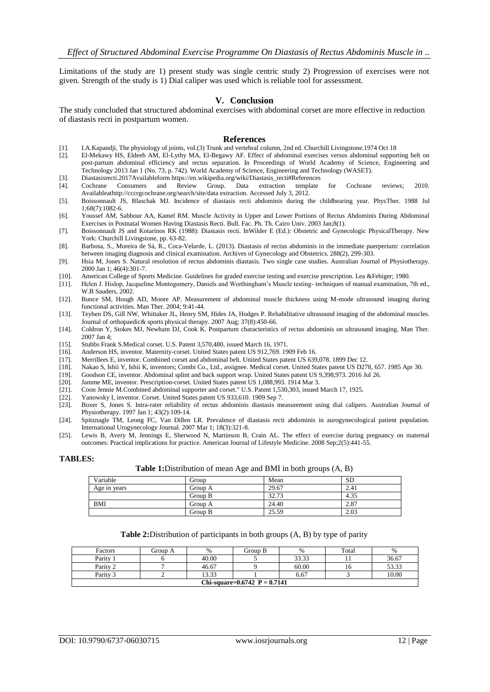Limitations of the study are 1) present study was single centric study 2) Progression of exercises were not given. Strength of the study is 1) Dial caliper was used which is reliable tool for assessment.

# **V. Conclusion**

The study concluded that structured abdominal exercises with abdominal corset are more effective in reduction of diastasis recti in postpartum women.

#### **References**

- [1]. I.A.Kapandji, The physiology of joints, vol.(3) Trunk and vertebral column, 2nd ed. Churchill Livingstone.1974 Oct 18
- [2]. El-Mekawy HS, Eldeeb AM, El-Lythy MA, El-Begawy AF. Effect of abdominal exercises versus abdominal supporting belt on post-partum abdominal efficiency and rectus separation. In Proceedings of World Academy of Science, Engineering and Technology 2013 Jan 1 (No. 73, p. 742). World Academy of Science, Engineering and Technology (WASET).
- [3]. Diastasisrecti.2017Availableform https://en.wikipedia.org/wiki/Diastasis\_recti#References
- [4]. Cochrane Consumers and Review Group. Data extraction template for Cochrane reviews; 2010. Availableathttp://cccrgcochrane.org/search/site/data extraction. Accessed July 3, 2012.
- [5]. Boissonnault JS, Blaschak MJ. Incidence of diastasis recti abdominis during the childbearing year. PhysTher. 1988 Jul 1;68(7):1082-6.
- [6]. Youssef AM, Sabbour AA, Kamel RM. Muscle Activity in Upper and Lower Portions of Rectus Abdominis During Abdominal Exercises in Postnatal Women Having Diastasis Recti. Bull. Fac. Ph. Th. Cairo Univ. 2003 Jan;8(1).
- [7]. Boissonnault JS and Kotarinos RK (1988): Diastasis recti. InWilder E (Ed.): Obstetric and Gynecologic PhysicalTherapy. New York: Churchill Livingstone, pp. 63-82.
- [8]. Barbosa, S., Moreira de Sá, R., Coca-Velarde, L. (2013). Diastasis of rectus abdominis in the immediate puerperium: correlation between imaging diagnosis and clinical examination. Archives of Gynecology and Obstetrics. 288(2), 299-303.
- [9]. Hsia M, Jones S. Natural resolution of rectus abdominis diastasis. Two single case studies. Australian Journal of Physiotherapy. 2000 Jan 1; 46(4):301-7.
- [10]. American College of Sports Medicine. Guidelines for graded exercise testing and exercise prescription. Lea &Febiger; 1980.
- Helen J. Hislop, Jacqueline Montogomery, Daniels and Worthingham's Muscle testing- techniques of manual examination, 7th ed., W.B Sauders, 2002.
- [12]. Bunce SM, Hough AD, Moore AP. Measurement of abdominal muscle thickness using M-mode ultrasound imaging during functional activities. Man Ther. 2004; 9:41-44.
- [13]. Teyhen DS, Gill NW, Whittaker JL, Henry SM, Hides JA, Hodges P. Rehabilitative ultrasound imaging of the abdominal muscles. Journal of orthopaedic& sports physical therapy. 2007 Aug; 37(8):450-66.
- [14]. Coldron Y, Stokes MJ, Newham DJ, Cook K. Postpartum characteristics of rectus abdominis on ultrasound imaging. Man Ther. 2007 Jan 4;
- [15]. Stubbs Frank S.Medical corset. U.S. Patent 3,570,480, issued March 16, 1971.
- [16]. Anderson HS, inventor. Maternity-corset. United States patent US 912,769. 1909 Feb 16.
- [17]. Merrillees E, inventor. Combined corset and abdominal belt. United States patent US 639,078. 1899 Dec 12.
- [18]. Nakao S, Ishii Y, Ishii K, inventors; Combi Co., Ltd., assignee. Medical corset. United States patent US D278, 657. 1985 Apr 30.
- [19]. Goodson CE, inventor. Abdominal splint and back support wrap. United States patent US 9,398,973. 2016 Jul 26.
- [20]. Jamme ME, inventor. Prescription-corset. United States patent US 1,088,993. 1914 Mar 3.<br>[21]. Coon Jennie M.Combined abdominal supporter and corset." U.S. Patent 1,530,303, issued
- [21]. Coon Jennie M.Combined abdominal supporter and corset." U.S. Patent 1,530,303, issued March 17, 1925.
- [22]. Yanowsky I, inventor. Corset. United States patent US 933,610. 1909 Sep 7.
- [23]. Boxer S, Jones S. Intra-rater reliability of rectus abdominis diastasis measurement using dial calipers. Australian Journal of Physiotherapy. 1997 Jan 1; 43(2):109-14.
- [24]. Spitznagle TM, Leong FC, Van Dillen LR. Prevalence of diastasis recti abdominis in aurogynecological patient population. International Urogynecology Journal. 2007 Mar 1; 18(3):321-8.
- [25]. Lewis B, Avery M, Jennings E, Sherwood N, Martinson B, Crain AL. The effect of exercise during pregnancy on maternal outcomes: Practical implications for practice. American Journal of Lifestyle Medicine. 2008 Sep;2(5):441-55.

#### **TABLES:**

#### **Table 1:**Distribution of mean Age and BMI in both groups (A, B)

| Variable     | Group   | Mean  | <b>SD</b> |
|--------------|---------|-------|-----------|
| Age in years | Group A | 29.67 | 2.41      |
|              | Group B | 32.73 | 4.35      |
| <b>BMI</b>   | Group A | 24.40 | 2.87      |
|              | Group B | 25.59 | 2.03      |

#### **Table 2:**Distribution of participants in both groups (A, B) by type of parity

| Factors                           | Group A | %     | Group B | %     | Total | %     |  |
|-----------------------------------|---------|-------|---------|-------|-------|-------|--|
| Parity                            |         | 40.00 |         | 33.33 |       | 36.67 |  |
| Parity?                           |         | 46.67 |         | 60.00 | 10.   | 53.33 |  |
| Parity?                           |         | 13.33 |         | 6.67  |       | 10.00 |  |
| Chi-square= $0.6742$ P = $0.7141$ |         |       |         |       |       |       |  |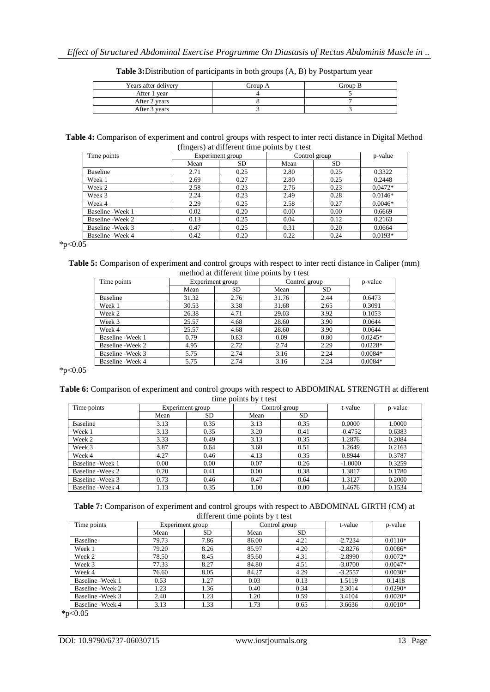| Years after delivery | Group A | Group B |
|----------------------|---------|---------|
| After 1 year         |         |         |
| After 2 years        |         |         |
| After 3 years        |         |         |

**Table 3:**Distribution of participants in both groups (A, B) by Postpartum year

**Table 4:** Comparison of experiment and control groups with respect to inter recti distance in Digital Method (fingers) at different time points by t test

| Time points       |      | Experiment group |      | Control group |           |
|-------------------|------|------------------|------|---------------|-----------|
|                   | Mean | SD.              | Mean | <b>SD</b>     |           |
| <b>Baseline</b>   | 2.71 | 0.25             | 2.80 | 0.25          | 0.3322    |
| Week 1            | 2.69 | 0.27             | 2.80 | 0.25          | 0.2448    |
| Week 2            | 2.58 | 0.23             | 2.76 | 0.23          | $0.0472*$ |
| Week 3            | 2.24 | 0.23             | 2.49 | 0.28          | $0.0146*$ |
| Week 4            | 2.29 | 0.25             | 2.58 | 0.27          | $0.0046*$ |
| Baseline - Week 1 | 0.02 | 0.20             | 0.00 | 0.00          | 0.6669    |
| Baseline - Week 2 | 0.13 | 0.25             | 0.04 | 0.12          | 0.2163    |
| Baseline - Week 3 | 0.47 | 0.25             | 0.31 | 0.20          | 0.0664    |
| Baseline - Week 4 | 0.42 | 0.20             | 0.22 | 0.24          | $0.0193*$ |

 $*_{p<0.05}$ 

**Table 5:** Comparison of experiment and control groups with respect to inter recti distance in Caliper (mm) method at different time points by t test

| Time points       | Experiment group |           | Control group | p-value |           |
|-------------------|------------------|-----------|---------------|---------|-----------|
|                   | Mean             | <b>SD</b> | Mean          | SD.     |           |
| Baseline          | 31.32            | 2.76      | 31.76         | 2.44    | 0.6473    |
| Week 1            | 30.53            | 3.38      | 31.68         | 2.65    | 0.3091    |
| Week 2            | 26.38            | 4.71      | 29.03         | 3.92    | 0.1053    |
| Week 3            | 25.57            | 4.68      | 28.60         | 3.90    | 0.0644    |
| Week 4            | 25.57            | 4.68      | 28.60         | 3.90    | 0.0644    |
| Baseline - Week 1 | 0.79             | 0.83      | 0.09          | 0.80    | $0.0245*$ |
| Baseline - Week 2 | 4.95             | 2.72      | 2.74          | 2.29    | $0.0228*$ |
| Baseline - Week 3 | 5.75             | 2.74      | 3.16          | 2.24    | $0.0084*$ |
| Baseline - Week 4 | 5.75             | 2.74      | 3.16          | 2.24    | $0.0084*$ |

\*p< $0.05$ 

| Table 6: Comparison of experiment and control groups with respect to ABDOMINAL STRENGTH at different |  |
|------------------------------------------------------------------------------------------------------|--|
| time points by t test                                                                                |  |

| Time points       |      | Experiment group | Control group |      | t-value   | p-value |
|-------------------|------|------------------|---------------|------|-----------|---------|
|                   | Mean | <b>SD</b>        | Mean          | SD.  |           |         |
| Baseline          | 3.13 | 0.35             | 3.13          | 0.35 | 0.0000    | 1.0000  |
| Week 1            | 3.13 | 0.35             | 3.20          | 0.41 | $-0.4752$ | 0.6383  |
| Week 2            | 3.33 | 0.49             | 3.13          | 0.35 | 1.2876    | 0.2084  |
| Week 3            | 3.87 | 0.64             | 3.60          | 0.51 | 1.2649    | 0.2163  |
| Week 4            | 4.27 | 0.46             | 4.13          | 0.35 | 0.8944    | 0.3787  |
| Baseline - Week 1 | 0.00 | 0.00             | 0.07          | 0.26 | $-1.0000$ | 0.3259  |
| Baseline - Week 2 | 0.20 | 0.41             | 0.00          | 0.38 | 1.3817    | 0.1780  |
| Baseline - Week 3 | 0.73 | 0.46             | 0.47          | 0.64 | 1.3127    | 0.2000  |
| Baseline - Week 4 | 1.13 | 0.35             | 1.00          | 0.00 | 1.4676    | 0.1534  |

| Table 7: Comparison of experiment and control groups with respect to ABDOMINAL GIRTH (CM) at |
|----------------------------------------------------------------------------------------------|
| different time points by t test                                                              |

| Time points       | Control group<br>Experiment group |           | t-value | p-value   |           |           |
|-------------------|-----------------------------------|-----------|---------|-----------|-----------|-----------|
|                   | Mean                              | <b>SD</b> | Mean    | <b>SD</b> |           |           |
| Baseline          | 79.73                             | 7.86      | 86.00   | 4.21      | $-2.7234$ | $0.0110*$ |
| Week 1            | 79.20                             | 8.26      | 85.97   | 4.20      | $-2.8276$ | $0.0086*$ |
| Week 2            | 78.50                             | 8.45      | 85.60   | 4.31      | $-2.8990$ | $0.0072*$ |
| Week 3            | 77.33                             | 8.27      | 84.80   | 4.51      | $-3.0700$ | $0.0047*$ |
| Week 4            | 76.60                             | 8.05      | 84.27   | 4.29      | $-3.2557$ | $0.0030*$ |
| Baseline - Week 1 | 0.53                              | 1.27      | 0.03    | 0.13      | 1.5119    | 0.1418    |
| Baseline - Week 2 | 1.23                              | 1.36      | 0.40    | 0.34      | 2.3014    | $0.0290*$ |
| Baseline - Week 3 | 2.40                              | 1.23      | 1.20    | 0.59      | 3.4104    | $0.0020*$ |
| Baseline - Week 4 | 3.13                              | 1.33      | 1.73    | 0.65      | 3.6636    | $0.0010*$ |

 $*_{p<0.05}$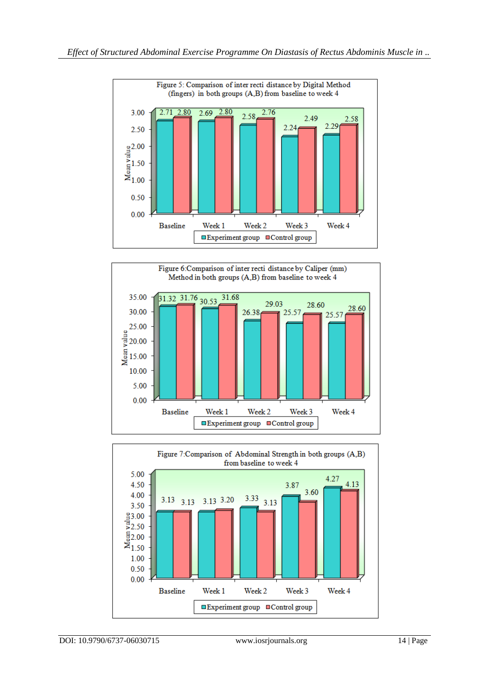